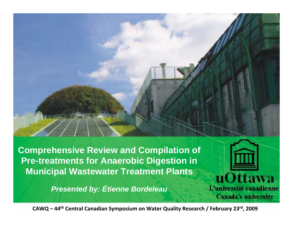**Comprehensive Review and Compilation of Pre-treatments for Anaerobic Digestion in Municipal Wastewater Treatment Plants**

*Presented by: Étienne Bordeleau*

**CAWQ – <sup>44</sup>th Central Canadian Symposium on Water Quality Research / February 23rd, <sup>2009</sup>**

uOttawa

L'université canadienne

**Canada's university**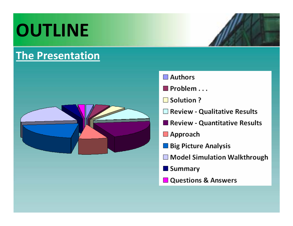## **OUTLINE**

### **The Presentation**



- $\Box$  Authors
- $\blacksquare$  Problem ...
- □ Solution ?
- Review Qualitative Results
- Review Quantitative Results
- Approach
- **Big Picture Analysis**
- □ Model Simulation Walkthrough
- **Summary**
- **Questions & Answers**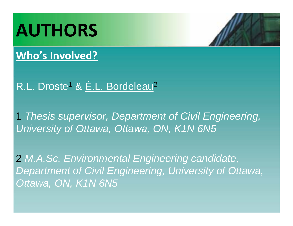### **AUTHORS**

#### **Who's Involved?**

#### R.L. Droste<sup>1</sup> & E.L. Bordeleau<sup>2</sup>

1 *Thesis supervisor, Department of Civil Engineering, University of Ottawa, Ottawa, ON, K1N 6N5*

2 *M.A.Sc. Environmental Engineering candidate, Department of Civil Engineering, University of Ottawa, Ottawa, ON, K1N 6N5*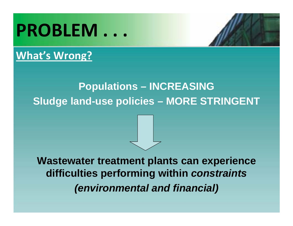### **PROBLEM . . .**

#### **What's Wrong?**

### **Populations – INCREASING Sludge land-use policies – MORE STRINGENT**

#### **Wastewater treatment plants can experience difficulties performing within** *constraints (environmental and financial)*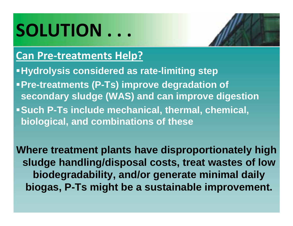### **SOLUTION . . .**

#### **Can Pre‐treatments Help?**

- **Hydrolysis considered as rate-limiting step**
- **Pre-treatments (P-Ts) improve degradation of secondary sludge (WAS) and can improve digestion**
- **Such P-Ts include mechanical, thermal, chemical, biological, and combinations of these**

**Where treatment plants have disproportionately high sludge handling/disposal costs, treat wastes of low biodegradability, and/or generate minimal daily biogas, P-Ts might be a sustainable improvement.**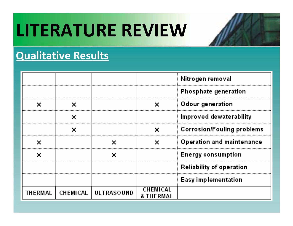### **LITERATURE REVIEW**

### **Qualitative Results**

|         |   |                       |                       | Nitrogen removal                  |
|---------|---|-----------------------|-----------------------|-----------------------------------|
|         |   |                       |                       | Phosphate generation              |
| ×       |   |                       | ×                     | Odour generation                  |
|         | x |                       |                       | Improved dewaterability           |
|         |   |                       |                       | <b>Corrosion/Fouling problems</b> |
|         |   |                       | ×                     | Operation and maintenance         |
| ×       |   |                       |                       | Energy consumption                |
|         |   |                       |                       | <b>Reliability of operation</b>   |
|         |   |                       |                       | Easy implementation               |
| THERMAL |   | CHEMICAL   ULTRASOUND | CHEMICAL<br>& THERMAI |                                   |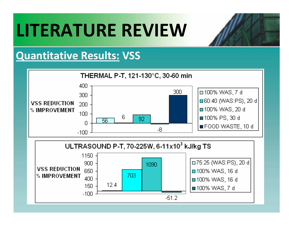### **LITERATURE REVIEW**

#### **Quantitative Results: VSS**



 $-51.2$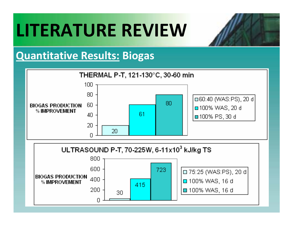### **LITERATURE REVIEW**



#### **Quantitative Results: Biogas**



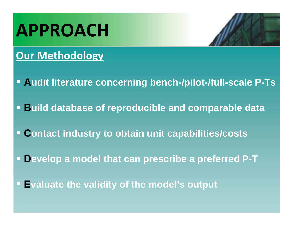### **APPROACH**

#### **Our Methodology**

- **Audit literature concerning bench-/pilot-/full-scale P-Ts**
- **Build database of reproducible and comparable data**
- **Contact industry to obtain unit capabilities/costs**
- **Develop a model that can prescribe a preferred P-T**
- **Evaluate the validity of the model's output**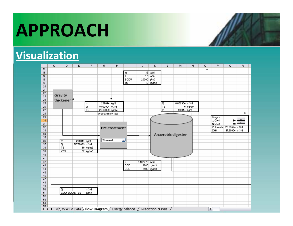### **APPROACH**

#### **Visualization**

|                 | $\overline{c}$ | D                       | Ε             | F                       | G                                                                                               | H             | п                       | J             | Κ                   | L                   | M                  | И        | $\circ$ | P                        | Q                       | $\overline{B}$       |
|-----------------|----------------|-------------------------|---------------|-------------------------|-------------------------------------------------------------------------------------------------|---------------|-------------------------|---------------|---------------------|---------------------|--------------------|----------|---------|--------------------------|-------------------------|----------------------|
| 15              |                |                         |               |                         |                                                                                                 |               |                         |               |                     |                     |                    |          |         |                          |                         |                      |
| 16              |                |                         |               |                         |                                                                                                 |               | m                       |               | 132 kg/d            |                     |                    |          |         |                          |                         |                      |
| 17              |                |                         |               |                         |                                                                                                 |               | $\overline{\mathsf{Q}}$ |               | $3.3 \text{ m}$ 3łd |                     |                    |          |         |                          |                         |                      |
| $\overline{18}$ |                |                         |               |                         |                                                                                                 |               | BOD <sub>5</sub>        | 20000 g/m3    |                     |                     |                    |          |         |                          |                         |                      |
| 19              |                |                         |               |                         |                                                                                                 |               | TS                      |               | 40 kg/m3            |                     |                    |          |         |                          |                         |                      |
| $\overline{20}$ |                |                         |               |                         |                                                                                                 |               |                         |               |                     |                     |                    |          |         |                          |                         |                      |
| 21              |                |                         |               |                         |                                                                                                 |               |                         |               |                     |                     |                    |          |         |                          |                         |                      |
| $\overline{22}$ |                |                         |               |                         |                                                                                                 |               |                         |               |                     |                     |                    |          |         |                          |                         |                      |
| $\overline{23}$ |                | Gravity                 |               |                         |                                                                                                 |               |                         |               |                     |                     |                    |          |         |                          |                         |                      |
| 24              |                | thickener               |               |                         |                                                                                                 |               |                         |               |                     |                     |                    |          |         |                          |                         |                      |
| $\overline{25}$ |                |                         |               | $\blacksquare$          | 231.044 kg/d                                                                                    |               |                         |               |                     | $\frac{Q}{TS}$      | 6.602904 m3/d      |          |         |                          |                         |                      |
| $\overline{26}$ |                |                         |               | $\overline{\mathsf{Q}}$ | 9.902904 m3/d                                                                                   |               |                         |               |                     |                     |                    | 15 kg/3m |         |                          |                         |                      |
| $\overline{27}$ |                |                         |               | TS                      | 23.33089 kg/m3                                                                                  |               |                         |               |                     | m                   | 99.044 kg/d        |          |         |                          |                         |                      |
| $\overline{28}$ |                |                         |               |                         | pretreatment type                                                                               |               |                         |               |                     |                     |                    |          |         |                          |                         |                      |
| $\overline{29}$ |                |                         |               |                         |                                                                                                 |               |                         |               |                     |                     |                    |          |         | biogas                   |                         |                      |
| 30              |                |                         |               |                         |                                                                                                 |               |                         |               |                     |                     |                    |          |         | $\times$ CH4             | 60                      |                      |
| $\overline{31}$ |                |                         |               |                         |                                                                                                 |               |                         |               |                     |                     |                    |          |         | $\times$ CO <sub>2</sub> | 40                      | $\blacktriangledown$ |
| 32              |                |                         |               |                         |                                                                                                 | Pre-treatment |                         |               |                     |                     |                    |          |         |                          | Volume bi 28.83424 m3/d |                      |
| $\overline{33}$ |                |                         |               |                         |                                                                                                 |               |                         |               |                     |                     |                    |          |         | CH4                      | 17.30054 m3/d           |                      |
| $\overline{34}$ |                |                         |               |                         |                                                                                                 |               |                         |               |                     |                     | Anaerobic digester |          |         |                          |                         |                      |
| $\overline{35}$ |                |                         |               |                         |                                                                                                 |               |                         |               |                     |                     |                    |          |         |                          |                         |                      |
| $\overline{36}$ |                | $\blacksquare$          | 231.044 kg/d  |                         | Thermal                                                                                         |               | ۰                       |               |                     |                     |                    |          |         |                          |                         |                      |
| 37              |                | $\overline{\mathsf{Q}}$ | 5.776089 m3/d |                         |                                                                                                 |               |                         |               |                     |                     |                    |          |         |                          |                         |                      |
| $\overline{38}$ |                | <b>TS</b>               |               | 40 kg/m3                |                                                                                                 |               |                         |               |                     |                     |                    |          |         |                          |                         |                      |
| 39              |                | <b>VSS</b>              |               | 32 kg/m3                |                                                                                                 |               |                         |               |                     |                     |                    |          |         |                          |                         |                      |
| 40              |                |                         |               |                         |                                                                                                 |               |                         |               |                     |                     |                    |          |         |                          |                         |                      |
| 41              |                |                         |               |                         |                                                                                                 |               |                         |               |                     |                     |                    |          |         |                          |                         |                      |
| 42              |                |                         |               |                         |                                                                                                 |               | Q                       | 5.437278 m3/d |                     |                     |                    |          |         |                          |                         |                      |
| 43              |                |                         |               |                         |                                                                                                 |               | COD                     |               | 9860 kg/m3          |                     |                    |          |         |                          |                         |                      |
| 44              |                |                         |               |                         |                                                                                                 |               | <b>BOD</b>              |               | 2500 kg/m3          |                     |                    |          |         |                          |                         |                      |
| 45              |                |                         |               |                         |                                                                                                 |               |                         |               |                     |                     |                    |          |         |                          |                         |                      |
| 46              |                |                         |               |                         |                                                                                                 |               |                         |               |                     |                     |                    |          |         |                          |                         |                      |
| 47              |                |                         |               |                         |                                                                                                 |               |                         |               |                     |                     |                    |          |         |                          |                         |                      |
| 48              |                |                         |               |                         |                                                                                                 |               |                         |               |                     |                     |                    |          |         |                          |                         |                      |
| 49              |                |                         |               |                         |                                                                                                 |               |                         |               |                     |                     |                    |          |         |                          |                         |                      |
| 50              |                | Q                       |               | m3d                     |                                                                                                 |               |                         |               |                     |                     |                    |          |         |                          |                         |                      |
| 51              |                | COD; BOD5; TSS          |               | g/m3                    |                                                                                                 |               |                         |               |                     |                     |                    |          |         |                          |                         |                      |
| 52              |                |                         |               |                         |                                                                                                 |               |                         |               |                     |                     |                    |          |         |                          |                         |                      |
| 53              |                |                         |               |                         |                                                                                                 |               |                         |               |                     |                     |                    |          |         |                          |                         |                      |
| 54              |                |                         |               |                         |                                                                                                 |               |                         |               |                     |                     |                    |          |         |                          |                         |                      |
| 55.             |                |                         |               |                         |                                                                                                 |               |                         |               |                     |                     |                    |          |         |                          |                         |                      |
| $H = 4$         |                |                         |               |                         | $\rightarrow$ $\rightarrow$ M WWTP Data $\lambda$ Flow Diagram $\angle$ Energy balance $\angle$ |               |                         |               |                     | Prediction curves / |                    |          | ∫∢      |                          |                         |                      |
|                 |                |                         |               |                         |                                                                                                 |               |                         |               |                     |                     |                    |          |         |                          |                         |                      |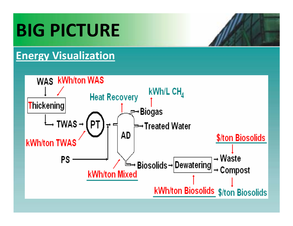## **BIG PICTURE**

### **Energy Visualization**

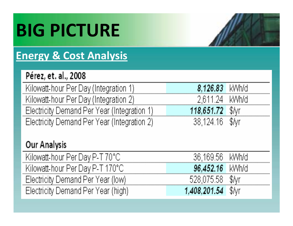# **BIG PICTURE**

### **Energy & Cost Analysis**

#### Pérez, et. al., 2008

Kilowatt-hour Per Day (Integration 1) Kilowatt-hour Per Day (Integration 2) Electricity Demand Per Year (Integration 1) Electricity Demand Per Year (Integration 2)

| 2,611.24 kWh/d    |  |
|-------------------|--|
| 118,651.72 SM     |  |
| $38,124.16$ \$/vr |  |

8.126.83

kWh/d

#### **Our Analysis**

| Kilowatt-hour Per Day P-T 70°C.    | .169.56    |  |
|------------------------------------|------------|--|
| Kilowatt-hour Per Dav P- L170°C i  | ו 16       |  |
| Electricity Demand Per Year (low)  |            |  |
| Electricity Demand Per Year (high) | 408,201.54 |  |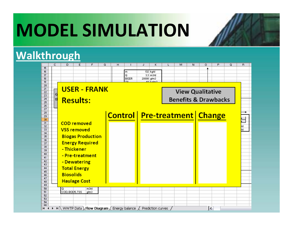### **MODEL SIMULATION**

#### **Walkthrough**

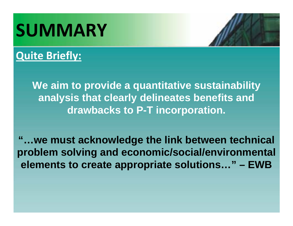## **SUMMARY**

### **Quite Briefly:**

**We aim to provide a quantitative sustainability analysis that clearly delineates benefits and drawbacks to P-T incorporation.**

**"…we must acknowledge the link between technical problem solving and economic/social/environmental elements to create appropriate solutions…" – EWB**